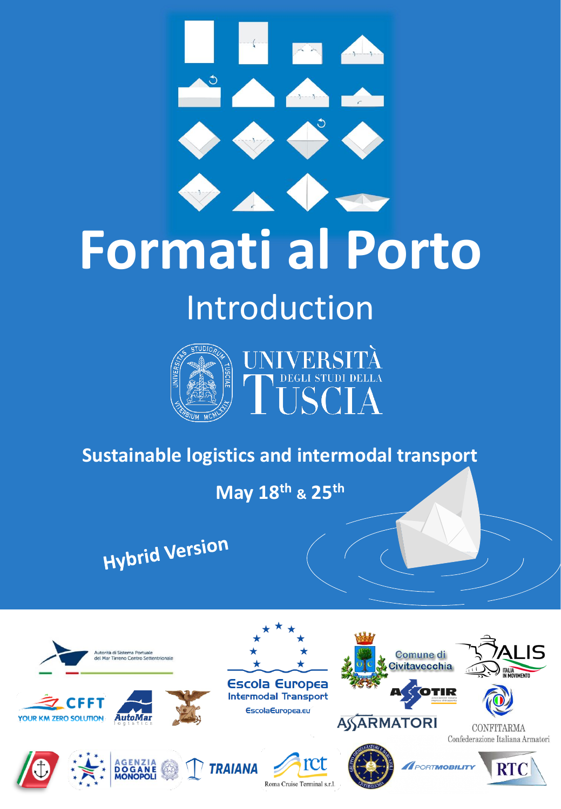

# **Formati al Porto**

### Introduction



#### **Sustainable logistics and intermodal transport**

**May 18th & 25th**

**Hybrid Version** 

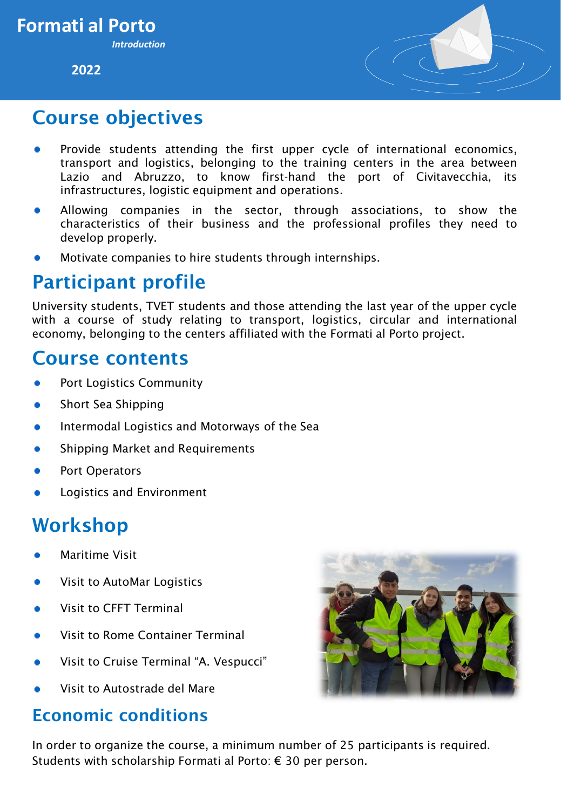**2022**



#### Course objectives

- Provide students attending the first upper cycle of international economics, transport and logistics, belonging to the training centers in the area between Lazio and Abruzzo, to know first-hand the port of Civitavecchia, its infrastructures, logistic equipment and operations.
- Allowing companies in the sector, through associations, to show the characteristics of their business and the professional profiles they need to develop properly.
- Motivate companies to hire students through internships.

#### Participant profile

University students, TVET students and those attending the last year of the upper cycle with a course of study relating to transport, logistics, circular and international economy, belonging to the centers affiliated with the Formati al Porto project.

#### Course contents

- Port Logistics Community
- Short Sea Shipping
- Intermodal Logistics and Motorways of the Sea
- Shipping Market and Requirements
- Port Operators
- Logistics and Environment

#### Workshop

- Maritime Visit
- Visit to AutoMar Logistics
- Visit to CFFT Terminal
- Visit to Rome Container Terminal
- Visit to Cruise Terminal "A. Vespucci"
- Visit to Autostrade del Mare

#### Economic conditions



In order to organize the course, a minimum number of 25 participants is required. Students with scholarship Formati al Porto: € 30 per person.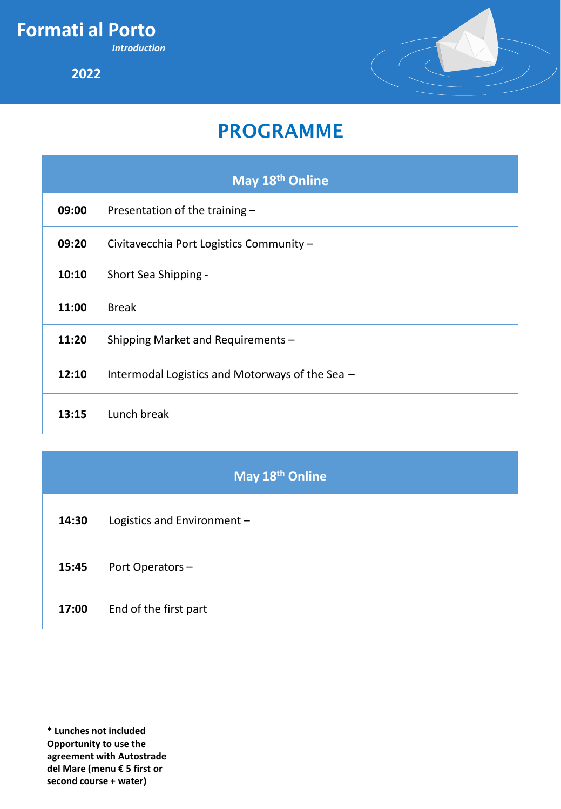**Formati al Porto**

*Introduction*

**2022**



#### PROGRAMME

|       | May 18 <sup>th</sup> Online                     |
|-------|-------------------------------------------------|
| 09:00 | Presentation of the training -                  |
| 09:20 | Civitavecchia Port Logistics Community -        |
| 10:10 | Short Sea Shipping -                            |
| 11:00 | <b>Break</b>                                    |
| 11:20 | Shipping Market and Requirements -              |
| 12:10 | Intermodal Logistics and Motorways of the Sea - |
| 13:15 | Lunch break                                     |

#### **May 18th Online**

**14:30** Logistics and Environment –

#### **15:45** Port Operators –

**17:00** End of the first part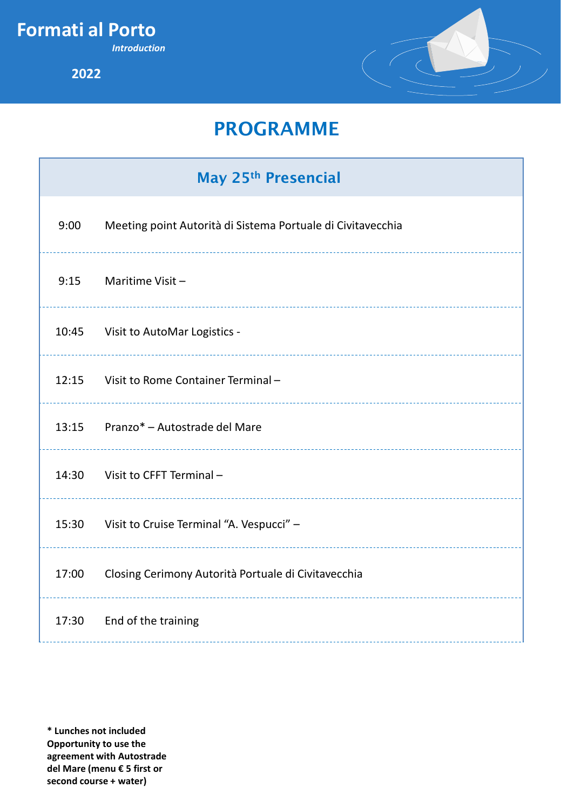#### **Formati al Porto**

*Introduction*

**2022**



#### PROGRAMME

## May 25th Presencial 9:00 Meeting point Autorità di Sistema Portuale di Civitavecchia 9:15 Maritime Visit – 10:45 Visit to AutoMar Logistics - 12:15 Visit to Rome Container Terminal – 13:15 Pranzo\* – Autostrade del Mare 14:30 Visit to CFFT Terminal – 15:30 Visit to Cruise Terminal "A. Vespucci" – 17:00 Closing Cerimony Autorità Portuale di Civitavecchia 17:30 End of the training